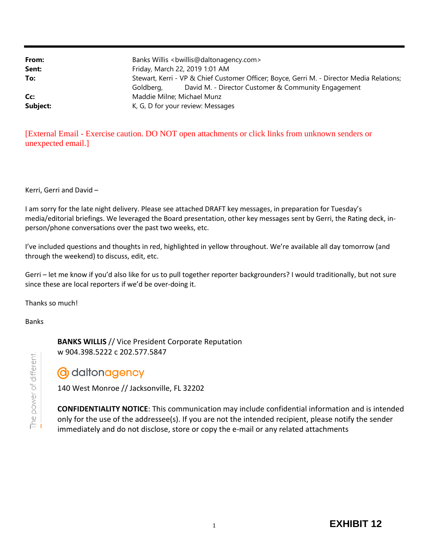| From:    | Banks Willis<br>bwillis@daltonagency.com>                                                                                                                     |
|----------|---------------------------------------------------------------------------------------------------------------------------------------------------------------|
| Sent:    | Friday, March 22, 2019 1:01 AM                                                                                                                                |
| To:      | Stewart, Kerri - VP & Chief Customer Officer; Boyce, Gerri M. - Director Media Relations;<br>David M. - Director Customer & Community Engagement<br>Goldberg, |
| Cc:      | Maddie Milne; Michael Munz                                                                                                                                    |
| Subject: | K, G, D for your review: Messages                                                                                                                             |

[External Email - Exercise caution. DO NOT open attachments or click links from unknown senders or unexpected email.]

Kerri, Gerri and David –

I am sorry for the late night delivery. Please see attached DRAFT key messages, in preparation for Tuesday's media/editorial briefings. We leveraged the Board presentation, other key messages sent by Gerri, the Rating deck, inperson/phone conversations over the past two weeks, etc.

I've included questions and thoughts in red, highlighted in yellow throughout. We're available all day tomorrow (and through the weekend) to discuss, edit, etc.

Gerri – let me know if you'd also like for us to pull together reporter backgrounders? I would traditionally, but not sure since these are local reporters if we'd be over-doing it.

Thanks so much!

Banks

**BANKS WILLIS** // Vice President Corporate Reputation w 904.398.5222 c 202.577.5847

# **d** daltonagency

140 West Monroe // Jacksonville, FL 32202

**CONFIDENTIALITY NOTICE**: This communication may include confidential information and is intended only for the use of the addressee(s). If you are not the intended recipient, please notify the sender immediately and do not disclose, store or copy the e-mail or any related attachments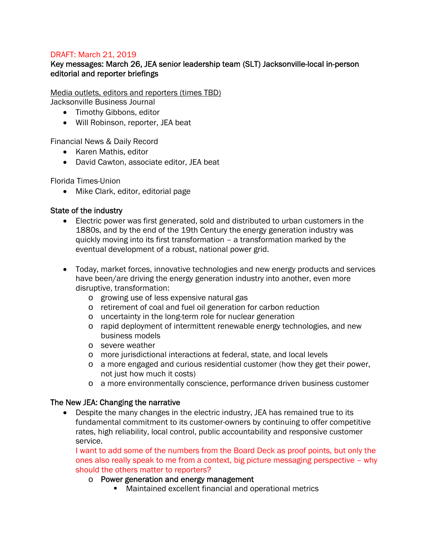#### DRAFT: March 21, 2019

## Key messages: March 26, JEA senior leadership team (SLT) Jacksonville-local in-person editorial and reporter briefings

Media outlets, editors and reporters (times TBD)

Jacksonville Business Journal

- Timothy Gibbons, editor
- Will Robinson, reporter, JEA beat

Financial News & Daily Record

- Karen Mathis, editor
- David Cawton, associate editor, JEA beat

Florida Times-Union

• Mike Clark, editor, editorial page

#### State of the industry

- Electric power was first generated, sold and distributed to urban customers in the 1880s, and by the end of the 19th Century the energy generation industry was quickly moving into its first transformation – a transformation marked by the eventual development of a robust, national power grid.
- Today, market forces, innovative technologies and new energy products and services have been/are driving the energy generation industry into another, even more disruptive, transformation:
	- o growing use of less expensive natural gas
	- o retirement of coal and fuel oil generation for carbon reduction
	- o uncertainty in the long-term role for nuclear generation
	- o rapid deployment of intermittent renewable energy technologies, and new business models
	- o severe weather
	- o more jurisdictional interactions at federal, state, and local levels
	- o a more engaged and curious residential customer (how they get their power, not just how much it costs)
	- o a more environmentally conscience, performance driven business customer

#### The New JEA: Changing the narrative

 Despite the many changes in the electric industry, JEA has remained true to its fundamental commitment to its customer-owners by continuing to offer competitive rates, high reliability, local control, public accountability and responsive customer service.

I want to add some of the numbers from the Board Deck as proof points, but only the ones also really speak to me from a context, big picture messaging perspective – why should the others matter to reporters?

- o Power generation and energy management
	- Maintained excellent financial and operational metrics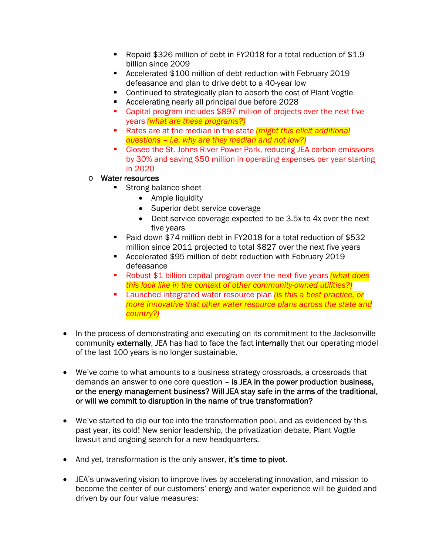- Repaid \$326 million of debt in FY2018 for a total reduction of \$1.9 billion since 2009
- Accelerated \$100 million of debt reduction with February 2019 defeasance and plan to drive debt to a 40-year low
- Continued to strategically plan to absorb the cost of Plant Vogtle
- Accelerating nearly all principal due before 2028
- Capital program includes \$897 million of projects over the next five years *(what are these programs?)*
- Rates are at the median in the state *(might this elicit additional questions – i.e. why are they median and not low?)*
- Closed the St. Johns River Power Park, reducing JEA carbon emissions by 30% and saving \$50 million in operating expenses per year starting in 2020
- o Water resources
	- Strong balance sheet
		- Ample liquidity
		- Superior debt service coverage
		- Debt service coverage expected to be 3.5x to 4x over the next five years
	- Paid down \$74 million debt in FY2018 for a total reduction of \$532 million since 2011 projected to total \$827 over the next five years
	- Accelerated \$95 million of debt reduction with February 2019 defeasance
	- Robust \$1 billion capital program over the next five years *(what does this look like in the context of other community-owned utilities?)*
	- Launched integrated water resource plan *(is this a best practice, or more innovative that other water resource plans across the state and country?)*
- In the process of demonstrating and executing on its commitment to the Jacksonville community externally, JEA has had to face the fact internally that our operating model of the last 100 years is no longer sustainable.
- We've come to what amounts to a business strategy crossroads, a crossroads that demands an answer to one core question – is JEA in the power production business, or the energy management business? Will JEA stay safe in the arms of the traditional, or will we commit to disruption in the name of true transformation?
- We've started to dip our toe into the transformation pool, and as evidenced by this past year, its cold! New senior leadership, the privatization debate, Plant Vogtle lawsuit and ongoing search for a new headquarters.
- And yet, transformation is the only answer, it's time to pivot.
- JEA's unwavering vision to improve lives by accelerating innovation, and mission to become the center of our customers' energy and water experience will be guided and driven by our four value measures: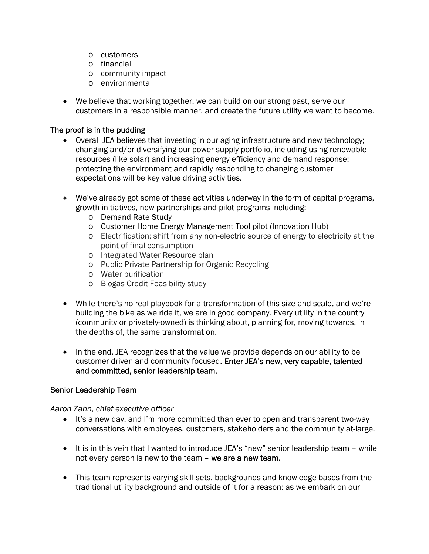- o customers
- o financial
- o community impact
- o environmental
- We believe that working together, we can build on our strong past, serve our customers in a responsible manner, and create the future utility we want to become.

## The proof is in the pudding

- Overall JEA believes that investing in our aging infrastructure and new technology; changing and/or diversifying our power supply portfolio, including using renewable resources (like solar) and increasing energy efficiency and demand response; protecting the environment and rapidly responding to changing customer expectations will be key value driving activities.
- We've already got some of these activities underway in the form of capital programs, growth initiatives, new partnerships and pilot programs including:
	- o Demand Rate Study
	- o Customer Home Energy Management Tool pilot (Innovation Hub)
	- o Electrification: shift from any non-electric source of energy to electricity at the point of final consumption
	- o Integrated Water Resource plan
	- o Public Private Partnership for Organic Recycling
	- o Water purification
	- o Biogas Credit Feasibility study
- While there's no real playbook for a transformation of this size and scale, and we're building the bike as we ride it, we are in good company. Every utility in the country (community or privately-owned) is thinking about, planning for, moving towards, in the depths of, the same transformation.
- In the end, JEA recognizes that the value we provide depends on our ability to be customer driven and community focused. Enter JEA's new, very capable, talented and committed, senior leadership team.

#### Senior Leadership Team

*Aaron Zahn, chief executive officer*

- It's a new day, and I'm more committed than ever to open and transparent two-way conversations with employees, customers, stakeholders and the community at-large.
- It is in this vein that I wanted to introduce JEA's "new" senior leadership team while not every person is new to the team - we are a new team.
- This team represents varying skill sets, backgrounds and knowledge bases from the traditional utility background and outside of it for a reason: as we embark on our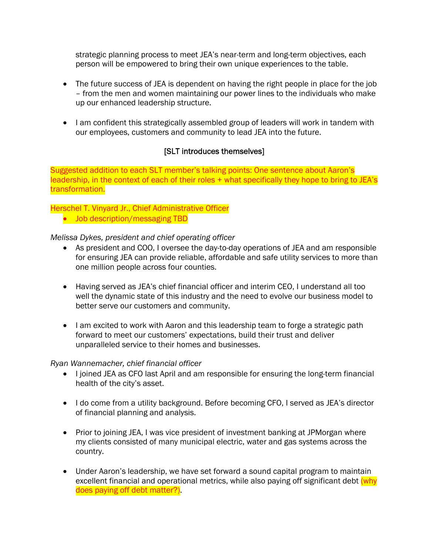strategic planning process to meet JEA's near-term and long-term objectives, each person will be empowered to bring their own unique experiences to the table.

- The future success of JEA is dependent on having the right people in place for the job – from the men and women maintaining our power lines to the individuals who make up our enhanced leadership structure.
- I am confident this strategically assembled group of leaders will work in tandem with our employees, customers and community to lead JEA into the future.

# [SLT introduces themselves]

Suggested addition to each SLT member's talking points: One sentence about Aaron's leadership, in the context of each of their roles + what specifically they hope to bring to JEA's transformation.

# Herschel T. Vinyard Jr., Chief Administrative Officer

• Job description/messaging TBD

#### *Melissa Dykes, president and chief operating officer*

- As president and COO, I oversee the day-to-day operations of JEA and am responsible for ensuring JEA can provide reliable, affordable and safe utility services to more than one million people across four counties.
- Having served as JEA's chief financial officer and interim CEO, I understand all too well the dynamic state of this industry and the need to evolve our business model to better serve our customers and community.
- I am excited to work with Aaron and this leadership team to forge a strategic path forward to meet our customers' expectations, build their trust and deliver unparalleled service to their homes and businesses.

#### *Ryan Wannemacher, chief financial officer*

- I joined JEA as CFO last April and am responsible for ensuring the long-term financial health of the city's asset.
- I do come from a utility background. Before becoming CFO, I served as JEA's director of financial planning and analysis.
- Prior to joining JEA, I was vice president of investment banking at JPMorgan where my clients consisted of many municipal electric, water and gas systems across the country.
- Under Aaron's leadership, we have set forward a sound capital program to maintain excellent financial and operational metrics, while also paying off significant debt (why does paying off debt matter?).